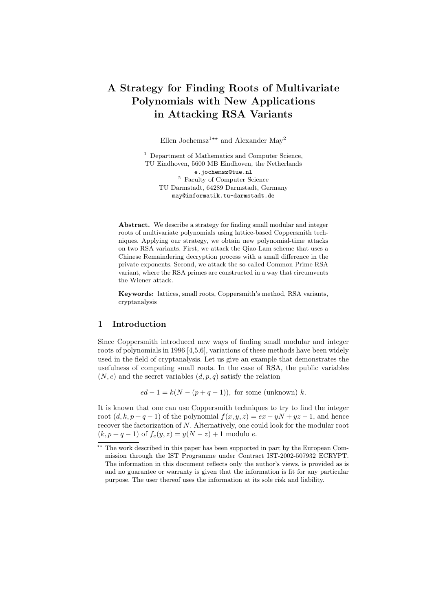# A Strategy for Finding Roots of Multivariate Polynomials with New Applications in Attacking RSA Variants

Ellen Jochemsz<sup>1\*\*</sup> and Alexander May<sup>2</sup>

<sup>1</sup> Department of Mathematics and Computer Science, TU Eindhoven, 5600 MB Eindhoven, the Netherlands e.jochemsz@tue.nl <sup>2</sup> Faculty of Computer Science TU Darmstadt, 64289 Darmstadt, Germany may@informatik.tu-darmstadt.de

Abstract. We describe a strategy for finding small modular and integer roots of multivariate polynomials using lattice-based Coppersmith techniques. Applying our strategy, we obtain new polynomial-time attacks on two RSA variants. First, we attack the Qiao-Lam scheme that uses a Chinese Remaindering decryption process with a small difference in the private exponents. Second, we attack the so-called Common Prime RSA variant, where the RSA primes are constructed in a way that circumvents the Wiener attack.

Keywords: lattices, small roots, Coppersmith's method, RSA variants, cryptanalysis

#### 1 Introduction

Since Coppersmith introduced new ways of finding small modular and integer roots of polynomials in 1996 [4,5,6], variations of these methods have been widely used in the field of cryptanalysis. Let us give an example that demonstrates the usefulness of computing small roots. In the case of RSA, the public variables  $(N, e)$  and the secret variables  $(d, p, q)$  satisfy the relation

 $ed - 1 = k(N - (p + q - 1)),$  for some (unknown) k.

It is known that one can use Coppersmith techniques to try to find the integer root  $(d, k, p + q - 1)$  of the polynomial  $f(x, y, z) = ex - yN + yz - 1$ , and hence recover the factorization of N. Alternatively, one could look for the modular root  $(k, p + q - 1)$  of  $f_e(y, z) = y(N - z) + 1$  modulo e.

 $^{\star\star}$  The work described in this paper has been supported in part by the European Commission through the IST Programme under Contract IST-2002-507932 ECRYPT. The information in this document reflects only the author's views, is provided as is and no guarantee or warranty is given that the information is fit for any particular purpose. The user thereof uses the information at its sole risk and liability.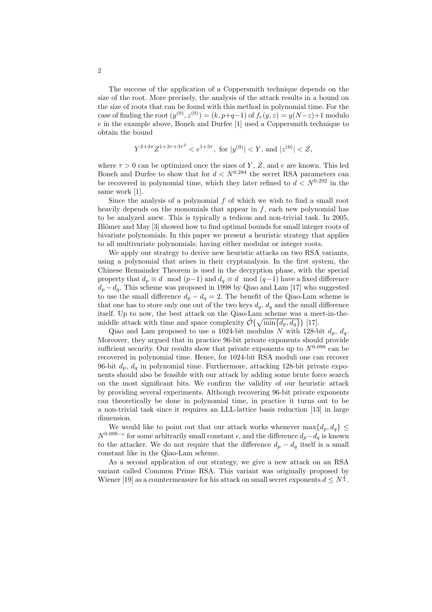The success of the application of a Coppersmith technique depends on the size of the root. More precisely, the analysis of the attack results in a bound on the size of roots that can be found with this method in polynomial time. For the case of finding the root  $(y^{(0)}, z^{(0)}) = (k, p+q-1)$  of  $f_e(y, z) = y(N-z)+1$  modulo e in the example above, Boneh and Durfee [1] used a Coppersmith technique to obtain the bound

$$
Y^{2+3\tau}Z^{1+3\tau+3\tau^2} < e^{1+3\tau}
$$
, for  $|y^{(0)}| < Y$ , and  $|z^{(0)}| < Z$ ,

where  $\tau > 0$  can be optimized once the sizes of Y, Z, and e are known. This led Boneh and Durfee to show that for  $d < N^{0.284}$  the secret RSA parameters can be recovered in polynomial time, which they later refined to  $d < N^{0.292}$  in the same work [1].

Since the analysis of a polynomial f of which we wish to find a small root heavily depends on the monomials that appear in  $f$ , each new polynomial has to be analyzed anew. This is typically a tedious and non-trivial task. In 2005, Blömer and May [3] showed how to find optimal bounds for small integer roots of bivariate polynomials. In this paper we present a heuristic strategy that applies to all multivariate polynomials; having either modular or integer roots.

We apply our strategy to derive new heuristic attacks on two RSA variants, using a polynomial that arises in their cryptanalysis. In the first system, the Chinese Remainder Theorem is used in the decryption phase, with the special property that  $d_p \equiv d \mod (p-1)$  and  $d_q \equiv d \mod (q-1)$  have a fixed difference  $d_p - d_q$ . This scheme was proposed in 1998 by Qiao and Lam [17] who suggested to use the small difference  $d_p - d_q = 2$ . The benefit of the Qiao-Lam scheme is that one has to store only one out of the two keys  $d_q$ ,  $d_q$  and the small difference itself. Up to now, the best attack on the Qiao-Lam scheme was a meet-in-themiddle attack with time and space complexity  $\tilde{\mathcal{O}}\{\sqrt{\min\{d_p, d_q\}}\}$  [17].

Qiao and Lam proposed to use a 1024-bit modulus N with 128-bit  $d_n, d_q$ . Moreover, they argued that in practice 96-bit private exponents should provide sufficient security. Our results show that private exponents up to  $N^{0.099}$  can be recovered in polynomial time. Hence, for 1024-bit RSA moduli one can recover 96-bit  $d_p$ ,  $d_q$  in polynomial time. Furthermore, attacking 128-bit private exponents should also be feasible with our attack by adding some brute force search on the most significant bits. We confirm the validity of our heuristic attack by providing several experiments. Although recovering 96-bit private exponents can theoretically be done in polynomial time, in practice it turns out to be a non-trivial task since it requires an LLL-lattice basis reduction [13] in large dimension.

We would like to point out that our attack works whenever  $\max\{d_p, d_q\} \leq$  $N^{0.099-\epsilon}$  for some arbitrarily small constant  $\epsilon$ , and the difference  $d_p - d_q$  is known to the attacker. We do not require that the difference  $d_p - d_q$  itself is a small constant like in the Qiao-Lam scheme.

As a second application of our strategy, we give a new attack on an RSA variant called Common Prime RSA. This variant was originally proposed by Wiener [19] as a countermeasure for his attack on small secret exponents  $d \leq N^{\frac{1}{4}}$ .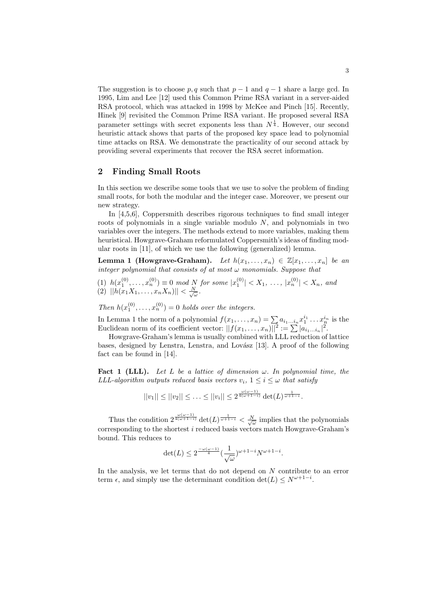The suggestion is to choose p, q such that  $p-1$  and  $q-1$  share a large gcd. In 1995, Lim and Lee [12] used this Common Prime RSA variant in a server-aided RSA protocol, which was attacked in 1998 by McKee and Pinch [15]. Recently, Hinek [9] revisited the Common Prime RSA variant. He proposed several RSA parameter settings with secret exponents less than  $N^{\frac{1}{4}}$ . However, our second heuristic attack shows that parts of the proposed key space lead to polynomial time attacks on RSA. We demonstrate the practicality of our second attack by providing several experiments that recover the RSA secret information.

# 2 Finding Small Roots

In this section we describe some tools that we use to solve the problem of finding small roots, for both the modular and the integer case. Moreover, we present our new strategy.

In [4,5,6], Coppersmith describes rigorous techniques to find small integer roots of polynomials in a single variable modulo  $N$ , and polynomials in two variables over the integers. The methods extend to more variables, making them heuristical. Howgrave-Graham reformulated Coppersmith's ideas of finding modular roots in [11], of which we use the following (generalized) lemma.

Lemma 1 (Howgrave-Graham). Let  $h(x_1,...,x_n) \in \mathbb{Z}[x_1,...,x_n]$  be an integer polynomial that consists of at most  $\omega$  monomials. Suppose that

(1)  $h(x_1^{(0)},...,x_n^{(0)}) \equiv 0 \mod N$  for some  $|x_1^{(0)}| < X_1, ..., |x_n^{(0)}| < X_n$ , and  $(2)$   $||h(x_1X_1,\ldots,x_nX_n)|| < \frac{N}{\sqrt{\omega}}$ .

Then  $h(x_1^{(0)}, \ldots, x_n^{(0)}) = 0$  holds over the integers.

In Lemma 1 the norm of a polynomial  $f(x_1, \ldots, x_n) = \sum a_{i_1...i_n} x_1^{i_1} \ldots x_n^{i_n}$  is the In Lemma 1 the norm of a polynomial  $J(x_1, \ldots, x_n) = \sum a_{i_1 \ldots i_n} x_1 \ldots x_n^{n}$ <br>Euclidean norm of its coefficient vector:  $||f(x_1, \ldots, x_n)||^2 := \sum |a_{i_1 \ldots i_n}|^2$ .

Howgrave-Graham's lemma is usually combined with LLL reduction of lattice bases, designed by Lenstra, Lenstra, and Lovász [13]. A proof of the following fact can be found in [14].

**Fact 1 (LLL).** Let L be a lattice of dimension  $\omega$ . In polynomial time, the LLL-algorithm outputs reduced basis vectors  $v_i$ ,  $1 \leq i \leq \omega$  that satisfy

$$
||v_1|| \le ||v_2|| \le \ldots \le ||v_i|| \le 2^{\frac{\omega(\omega-1)}{4(\omega+1-i)}} \det(L)^{\frac{1}{\omega+1-i}}.
$$

Thus the condition  $2^{\frac{\omega(\omega-1)}{4(\omega+1-i)}} \det(L)^{\frac{1}{\omega+1-i}} < \frac{N}{\sqrt{\omega}}$  implies that the polynomials corresponding to the shortest  $i$  reduced basis vectors match Howgrave-Graham's bound. This reduces to

$$
\det(L) \le 2^{\frac{-\omega(\omega-1)}{4}} \left(\frac{1}{\sqrt{\omega}}\right)^{\omega+1-i} N^{\omega+1-i}.
$$

In the analysis, we let terms that do not depend on N contribute to an error term  $\epsilon$ , and simply use the determinant condition det( $L$ )  $\leq N^{\omega+1-i}$ .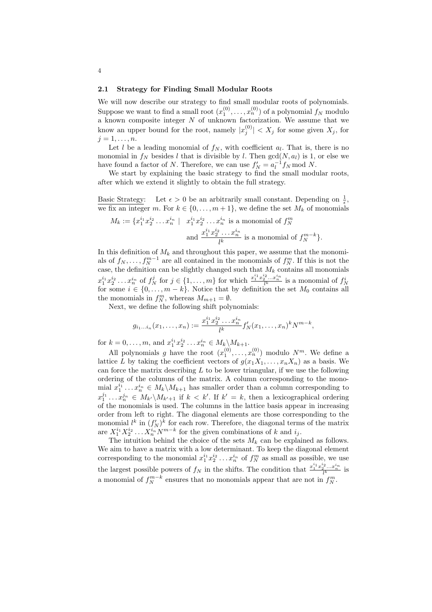#### 2.1 Strategy for Finding Small Modular Roots

We will now describe our strategy to find small modular roots of polynomials. Suppose we want to find a small root  $(x_1^{(0)},...,x_n^{(0)})$  of a polynomial  $f_N$  modulo a known composite integer  $N$  of unknown factorization. We assume that we know an upper bound for the root, namely  $|x_j^{(0)}| < X_j$  for some given  $X_j$ , for  $j=1,\ldots,n.$ 

Let l be a leading monomial of  $f_N$ , with coefficient  $a_l$ . That is, there is no monomial in  $f_N$  besides l that is divisible by l. Then  $gcd(N, a_l)$  is 1, or else we have found a factor of N. Therefore, we can use  $f'_N = a_l^{-1} f_N \mod N$ .

We start by explaining the basic strategy to find the small modular roots, after which we extend it slightly to obtain the full strategy.

Basic Strategy: Let  $\epsilon > 0$  be an arbitrarily small constant. Depending on  $\frac{1}{\epsilon}$ , we fix an integer m. For  $k \in \{0, \ldots, m+1\}$ , we define the set  $M_k$  of monomials

$$
M_k := \{ x_1^{i_1} x_2^{i_2} \dots x_n^{i_n} \mid x_1^{i_1} x_2^{i_2} \dots x_n^{i_n} \text{ is a monomial of } f_N^m
$$
  
and 
$$
\frac{x_1^{i_1} x_2^{i_2} \dots x_n^{i_n}}{l^k} \text{ is a monomial of } f_N^{m-k} \}.
$$

In this definition of  $M_k$  and throughout this paper, we assume that the monomials of  $f_N, \ldots, f_N^{m-1}$  are all contained in the monomials of  $f_N^m$ . If this is not the case, the definition can be slightly changed such that  $M_k$  contains all monomials  $x_1^{i_1}x_2^{i_2}...x_n^{i_n}$  of  $f_N^j$  for  $j \in \{1,...,m\}$  for which  $\frac{x_1^{i_1}x_2^{i_2}...x_n^{i_n}}{l^k}$  is a monomial of  $f_N^i$  for some  $i \in \{0,...,m-k\}$ . Notice that by definition the set  $M_0$  contains all the monomials in  $f_N^m$ , whereas  $M_{m+1} = \emptyset$ .

Next, we define the following shift polynomials:

$$
g_{i_1...i_n}(x_1,...,x_n) := \frac{x_1^{i_1}x_2^{i_2}...x_n^{i_n}}{l^k} f'_N(x_1,...,x_n)^k N^{m-k},
$$

for  $k = 0, ..., m$ , and  $x_1^{i_1} x_2^{i_2} ... x_n^{i_n} \in M_k \backslash M_{k+1}$ .

All polynomials g have the root  $(x_1^{(0)},...,x_n^{(0)})$  modulo  $N^m$ . We define a lattice L by taking the coefficient vectors of  $g(x_1X_1, \ldots, x_nX_n)$  as a basis. We can force the matrix describing  $L$  to be lower triangular, if we use the following ordering of the columns of the matrix. A column corresponding to the monomial  $x_1^{i_1} \ldots x_n^{i_n} \in M_k \backslash M_{k+1}$  has smaller order than a column corresponding to  $x_1^{j_1} \ldots x_n^{j_n} \in M_{k'}\backslash M_{k'+1}$  if  $k < k'$ . If  $k' = k$ , then a lexicographical ordering of the monomials is used. The columns in the lattice basis appear in increasing order from left to right. The diagonal elements are those corresponding to the monomial  $l^k$  in  $(f'_N)^k$  for each row. Therefore, the diagonal terms of the matrix are  $X_1^{i_1} X_2^{i_2} \ldots X_n^{i_n} N^{m-k}$  for the given combinations of k and  $i_j$ .

The intuition behind the choice of the sets  $M_k$  can be explained as follows. We aim to have a matrix with a low determinant. To keep the diagonal element corresponding to the monomial  $x_1^{i_1}x_2^{i_2}\ldots x_n^{i_n}$  of  $f_N^m$  as small as possible, we use the largest possible powers of  $f_N$  in the shifts. The condition that  $\frac{x_1^{i_1} x_2^{i_2} \dots x_n^{i_n}}{l^k}$  is a monomial of  $f_N^{m-k}$  ensures that no monomials appear that are not in  $f_N^m$ .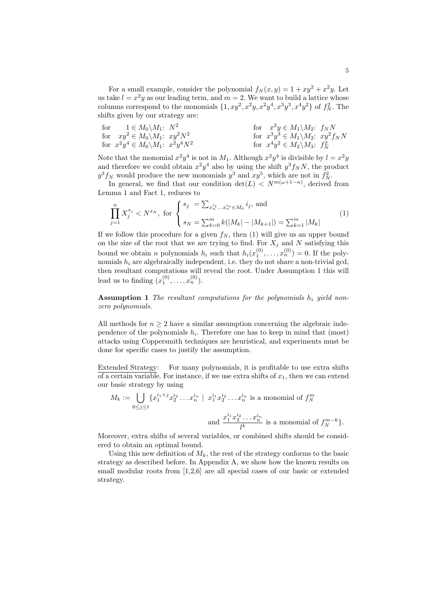For a small example, consider the polynomial  $f_N(x, y) = 1 + xy^2 + x^2y$ . Let us take  $l = x^2y$  as our leading term, and  $m = 2$ . We want to build a lattice whose columns correspond to the monomials  $\{1, xy^2, x^2y, x^2y^4, x^3y^3, x^4y^2\}$  of  $f_N^2$ . The shifts given by our strategy are:

$$
\begin{array}{ll}\n\text{for} & 1 \in M_0 \backslash M_1; \ N^2 \quad \text{for} \quad x^2 y \in M_1 \backslash M_2; \ f_N N \\
\text{for} & xy^2 \in M_0 \backslash M_1; \ xy^2 N^2 \quad \text{for} \quad x^3 y^3 \in M_1 \backslash M_2; \ xy^2 f_N N \\
\text{for} \ x^2 y^4 \in M_0 \backslash M_1; \ x^2 y^4 N^2 \quad \text{for} \quad x^4 y^2 \in M_2 \backslash M_3; \ f_N^2\n\end{array}
$$

Note that the monomial  $x^2y^4$  is not in  $M_1$ . Although  $x^2y^4$  is divisible by  $l = x^2y$ and therefore we could obtain  $x^2y^4$  also by using the shift  $y^3f_NN$ , the product  $y^3 f_N$  would produce the new monomials  $y^3$  and  $xy^5$ , which are not in  $f_N^2$ .

In general, we find that our condition  $\det(L) < N^{m(\omega+1-n)}$ , derived from Lemma 1 and Fact 1, reduces to

$$
\prod_{j=1}^{n} X_j^{s_j} < N^{s_N}, \text{ for } \begin{cases} s_j = \sum_{x_n^{i_1} \dots x_n^{i_n} \in M_0} i_j, \text{ and} \\ s_N = \sum_{k=0}^{m} k(|M_k| - |M_{k+1}|) = \sum_{k=1}^{m} |M_k| \end{cases} \tag{1}
$$

If we follow this procedure for a given  $f_N$ , then (1) will give us an upper bound on the size of the root that we are trying to find. For  $X_i$  and N satisfying this bound we obtain *n* polynomials  $h_i$  such that  $h_i(x_1^{(0)}, \ldots, x_n^{(0)}) = 0$ . If the polynomials  $h_i$  are algebraically independent, i.e. they do not share a non-trivial gcd, then resultant computations will reveal the root. Under Assumption 1 this will lead us to finding  $(x_1^{(0)},...,x_n^{(0)})$ .

**Assumption 1** The resultant computations for the polynomials  $h_i$  yield nonzero polynomials.

All methods for  $n \geq 2$  have a similar assumption concerning the algebraic independence of the polynomials  $h_i$ . Therefore one has to keep in mind that (most) attacks using Coppersmith techniques are heuristical, and experiments must be done for specific cases to justify the assumption.

Extended Strategy: For many polynomials, it is profitable to use extra shifts of a certain variable. For instance, if we use extra shifts of  $x_1$ , then we can extend our basic strategy by using

$$
M_k := \bigcup_{0 \le j \le t} \{x_1^{i_1+j} x_2^{i_2} \dots x_n^{i_n} \mid x_1^{i_1} x_2^{i_2} \dots x_n^{i_n} \text{ is a monomial of } f_N^m
$$
  
and 
$$
\frac{x_1^{i_1} x_2^{i_2} \dots x_n^{i_n}}{l^k} \text{ is a monomial of } f_N^{m-k} \}.
$$

Moreover, extra shifts of several variables, or combined shifts should be considered to obtain an optimal bound.

Using this new definition of  $M_k$ , the rest of the strategy conforms to the basic strategy as described before. In Appendix A, we show how the known results on small modular roots from [1,2,6] are all special cases of our basic or extended strategy.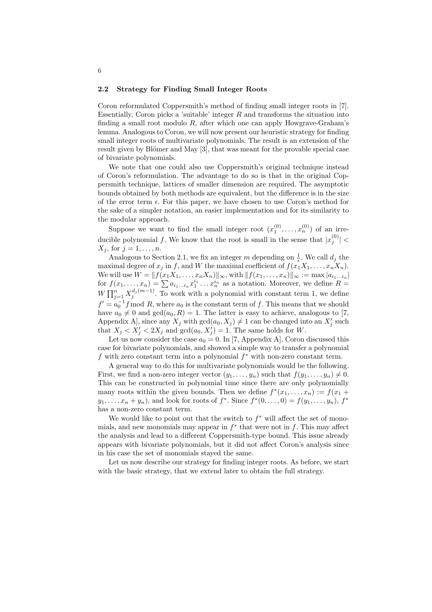#### 2.2 Strategy for Finding Small Integer Roots

Coron reformulated Coppersmith's method of finding small integer roots in [7]. Essentially, Coron picks a 'suitable' integer  $R$  and transforms the situation into finding a small root modulo  $R$ , after which one can apply Howgrave-Graham's lemma. Analogous to Coron, we will now present our heuristic strategy for finding small integer roots of multivariate polynomials. The result is an extension of the result given by Blömer and May [3], that was meant for the provable special case of bivariate polynomials.

We note that one could also use Coppersmith's original technique instead of Coron's reformulation. The advantage to do so is that in the original Coppersmith technique, lattices of smaller dimension are required. The asymptotic bounds obtained by both methods are equivalent, but the difference is in the size of the error term  $\epsilon$ . For this paper, we have chosen to use Coron's method for the sake of a simpler notation, an easier implementation and for its similarity to the modular approach.

Suppose we want to find the small integer root  $(x_1^{(0)},...,x_n^{(0)})$  of an irreducible polynomial f. We know that the root is small in the sense that  $|x_j^{(0)}|$  <  $X_j$ , for  $j = 1, \ldots, n$ .

Analogous to Section 2.1, we fix an integer m depending on  $\frac{1}{\epsilon}$ . We call  $d_j$  the maximal degree of  $x_i$  in f, and W the maximal coefficient of  $f(x_1X_1, \ldots, x_nX_n)$ . We will use  $W = ||f(x_1X_1, \ldots, x_nX_n)||_{\infty}$ , with  $||f(x_1, \ldots, x_n)||_{\infty} := \max |a_{i_1...i_n}|$ we will use  $W = ||f(x_1A_1, \ldots, x_nA_n)||_{\infty}$ , with  $||f(x_1, \ldots, x_n)||_{\infty} := \max |a_{i_1\ldots i_n}|$ <br>for  $f(x_1, \ldots, x_n) = \sum a_{i_1\ldots i_n} x_1^{i_1} \ldots x_n^{i_n}$  as a notation. Moreover, we define  $R =$  $W \prod_{j=1}^n X_j^{d_j(m-1)}$ . To work with a polynomial with constant term 1, we define  $f' = a_0^{-1} f \mod R$ , where  $a_0$  is the constant term of f. This means that we should have  $a_0 \neq 0$  and  $gcd(a_0, R) = 1$ . The latter is easy to achieve, analogous to [7, Appendix A, since any  $X_j$  with  $gcd(a_0, X_j) \neq 1$  can be changed into an  $X'_j$  such that  $X_j < X'_j < 2X_j$  and  $gcd(a_0, X'_j) = 1$ . The same holds for W.

Let us now consider the case  $a_0 = 0$ . In [7, Appendix A], Coron discussed this case for bivariate polynomials, and showed a simple way to transfer a polynomial f with zero constant term into a polynomial  $f^*$  with non-zero constant term.

A general way to do this for multivariate polynomials would be the following. First, we find a non-zero integer vector  $(y_1, \ldots, y_n)$  such that  $f(y_1, \ldots, y_n) \neq 0$ . This can be constructed in polynomial time since there are only polynomially many roots within the given bounds. Then we define  $f^*(x_1, \ldots, x_n) := f(x_1 +$  $y_1, \ldots, x_n + y_n$ , and look for roots of  $f^*$ . Since  $f^*(0, \ldots, 0) = f(y_1, \ldots, y_n)$ ,  $f^*$ has a non-zero constant term.

We would like to point out that the switch to  $f^*$  will affect the set of monomials, and new monomials may appear in  $f^*$  that were not in f. This may affect the analysis and lead to a different Coppersmith-type bound. This issue already appears with bivariate polynomials, but it did not affect Coron's analysis since in his case the set of monomials stayed the same.

Let us now describe our strategy for finding integer roots. As before, we start with the basic strategy, that we extend later to obtain the full strategy.

#### 6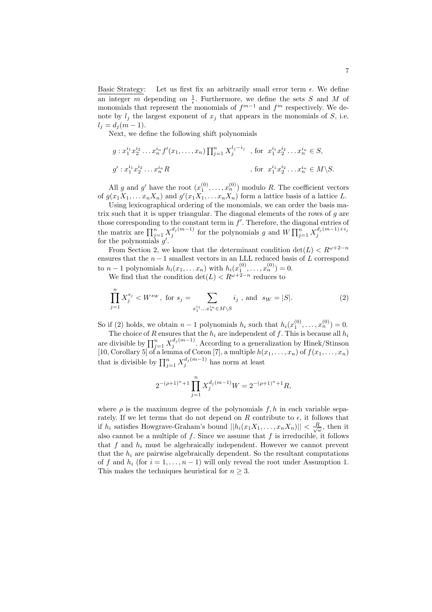Basic Strategy: Let us first fix an arbitrarily small error term  $\epsilon$ . We define an integer m depending on  $\frac{1}{6}$ . Furthermore, we define the sets S and M of monomials that represent the monomials of  $f^{m-1}$  and  $f^m$  respectively. We demonomials note by  $l_j$  the largest exponent of  $x_j$  that appears in the monomials of S, i.e.  $l_i = d_i (m - 1).$ 

Next, we define the following shift polynomials

$$
g: x_1^{i_1} x_2^{i_2} \dots x_n^{i_n} f'(x_1, \dots, x_n) \prod_{j=1}^n X_j^{l_j - i_j}
$$
, for  $x_1^{i_1} x_2^{i_2} \dots x_n^{i_n} \in S$ ,  

$$
g': x_1^{i_1} x_2^{i_2} \dots x_n^{i_n} R
$$
, for  $x_1^{i_1} x_2^{i_2} \dots x_n^{i_n} \in M \backslash S$ .

All g and g' have the root  $(x_1^{(0)},...,x_n^{(0)})$  modulo R. The coefficient vectors of  $g(x_1X_1, \ldots x_nX_n)$  and  $g'(x_1X_1, \ldots x_nX_n)$  form a lattice basis of a lattice L.

Using lexicographical ordering of the monomials, we can order the basis matrix such that it is upper triangular. The diagonal elements of the rows of  $q$  are those corresponding to the constant term in f'. Therefore, the diagonal entries of the matrix are  $\prod_{j=1}^{n} X_j^{d_j(m-1)}$  for the polynomials g and  $W \prod_{j=1}^{n} X_j^{d_j(m-1)+i_j}$ for the polynomials  $g'$ .

From Section 2, we know that the determinant condition  $\det(L) < R^{\omega+2-n}$ ensures that the  $n-1$  smallest vectors in an LLL reduced basis of L correspond to  $n-1$  polynomials  $h_i(x_1,...x_n)$  with  $h_i(x_1^{(0)},...,x_n^{(0)})=0$ .

We find that the condition  $\det(L) < R^{\omega+2-n}$  reduces to

Y<sup>n</sup>

$$
\prod_{j=1}^{n} X_j^{s_j} < W^{s_W}, \text{ for } s_j = \sum_{x_1^{i_1} \dots x_n^{i_n} \in M \setminus S} i_j \text{, and } s_W = |S|. \tag{2}
$$

So if (2) holds, we obtain  $n-1$  polynomials  $h_i$  such that  $h_i(x_1^{(0)}, \ldots, x_n^{(0)}) = 0$ .

50 If (2) holds, we obtain  $n-1$  polynomials  $n_i$  such that  $n_i(x_1, \ldots, x_n) = 0$ .<br>The choice of R ensures that the  $h_i$  are independent of f. This is because all  $h_i$  are divisible by  $\prod_{j=1}^n X_j^{d_j(m-1)}$ . According to a ge [10, Corollary 5] of a lemma of Coron [7], a multiple  $h(x_1, \ldots, x_n)$  of  $f(x_1, \ldots, x_n)$  that is divisible by  $\prod_{j=1}^n X_j^{d_j(m-1)}$  has norm at least

$$
2^{-(\rho+1)^n+1} \prod_{j=1}^n X_j^{d_j(m-1)} W = 2^{-(\rho+1)^n+1} R,
$$

where  $\rho$  is the maximum degree of the polynomials  $f, h$  in each variable separately. If we let terms that do not depend on R contribute to  $\epsilon$ , it follows that if  $h_i$  satisfies Howgrave-Graham's bound  $||h_i(x_1X_1,\ldots,x_nX_n)|| < \frac{R}{\sqrt{\omega}}$ , then it also cannot be a multiple of  $f$ . Since we assume that  $f$  is irreducible, it follows that  $f$  and  $h_i$  must be algebraically independent. However we cannot prevent that the  $h_i$  are pairwise algebraically dependent. So the resultant computations of f and  $h_i$  (for  $i = 1, ..., n - 1$ ) will only reveal the root under Assumption 1. This makes the techniques heuristical for  $n \geq 3$ .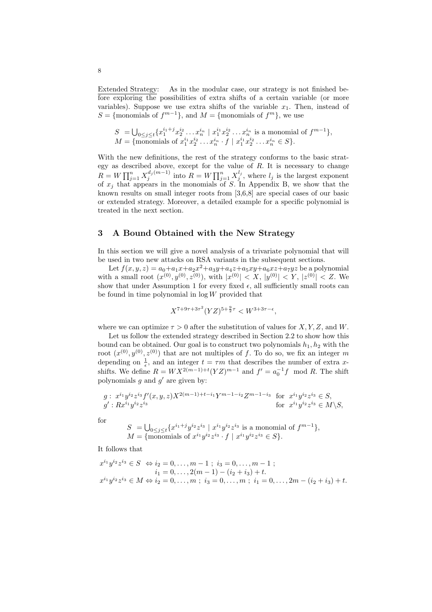Extended Strategy: As in the modular case, our strategy is not finished before exploring the possibilities of extra shifts of a certain variable (or more variables). Suppose we use extra shifts of the variable  $x_1$ . Then, instead of S = {monomials of  $f^{m-1}$ }, and  $M = \{$ monomials of  $f^m$ }, we use

$$
S = \bigcup_{0 \le j \le t} \{x_1^{i_1+j} x_2^{i_2} \dots x_n^{i_n} \mid x_1^{i_1} x_2^{i_2} \dots x_n^{i_n} \text{ is a monomial of } f^{m-1}\},
$$
  

$$
M = \{\text{monomials of } x_1^{i_1} x_2^{i_2} \dots x_n^{i_n} \cdot f \mid x_1^{i_1} x_2^{i_2} \dots x_n^{i_n} \in S\}.
$$

With the new definitions, the rest of the strategy conforms to the basic strategy as described above, except for the value of  $R$ . It is necessary to change  $R = W \prod_{j=1}^{n} X_j^{d_j(m-1)}$  into  $R = W \prod_{j=1}^{n} X_j^{l_j}$ , where  $l_j$  is the largest exponent of  $x_j$  that appears in the monomials of S. In Appendix B, we show that the known results on small integer roots from [3,6,8] are special cases of our basic or extended strategy. Moreover, a detailed example for a specific polynomial is treated in the next section.

## 3 A Bound Obtained with the New Strategy

In this section we will give a novel analysis of a trivariate polynomial that will be used in two new attacks on RSA variants in the subsequent sections.

Let  $f(x, y, z) = a_0 + a_1 x + a_2 x^2 + a_3 y + a_4 z + a_5 x y + a_6 x z + a_7 y z$  be a polynomial with a small root  $(x^{(0)}, y^{(0)}, z^{(0)})$ , with  $|x^{(0)}| < X$ ,  $|y^{(0)}| < Y$ ,  $|z^{(0)}| < Z$ . We show that under Assumption 1 for every fixed  $\epsilon$ , all sufficiently small roots can be found in time polynomial in  $log W$  provided that

$$
X^{7+9\tau+3\tau^2} (YZ)^{5+\frac{9}{2}\tau} < W^{3+3\tau-\epsilon},
$$

where we can optimize  $\tau > 0$  after the substitution of values for X, Y, Z, and W.

Let us follow the extended strategy described in Section 2.2 to show how this bound can be obtained. Our goal is to construct two polynomials  $h_1, h_2$  with the root  $(x^{(0)}, y^{(0)}, z^{(0)})$  that are not multiples of f. To do so, we fix an integer m depending on  $\frac{1}{\epsilon}$ , and an integer  $t = \tau m$  that describes the number of extra xshifts. We define  $R = W X^{2(m-1)+t} (YZ)^{m-1}$  and  $f' = a_0^{-1} f \mod R$ . The shift polynomials  $g$  and  $g'$  are given by:

$$
g: x^{i_1}y^{i_2}z^{i_3}f'(x,y,z)X^{2(m-1)+t-i_1}Y^{m-1-i_2}Z^{m-1-i_3} \text{ for } x^{i_1}y^{i_2}z^{i_3} \in S,
$$
  
\n
$$
g': Rx^{i_1}y^{i_2}z^{i_3} \in M\backslash S,
$$
  
\nfor  $x^{i_1}y^{i_2}z^{i_3} \in M\backslash S,$ 

for

$$
S = \bigcup_{0 \le j \le t} \{x^{i_1+j}y^{i_2}z^{i_3} \mid x^{i_1}y^{i_2}z^{i_3} \text{ is a monomial of } f^{m-1}\},
$$
  

$$
M = \{\text{monomials of } x^{i_1}y^{i_2}z^{i_3} \cdot f \mid x^{i_1}y^{i_2}z^{i_3} \in S\}.
$$

It follows that

$$
x^{i_1}y^{i_2}z^{i_3} \in S \iff i_2 = 0, \dots, m-1 \; ; \; i_3 = 0, \dots, m-1 \; ;
$$
  
\n
$$
i_1 = 0, \dots, 2(m-1) - (i_2 + i_3) + t.
$$
  
\n
$$
x^{i_1}y^{i_2}z^{i_3} \in M \iff i_2 = 0, \dots, m \; ; \; i_3 = 0, \dots, m \; ; \; i_1 = 0, \dots, 2m - (i_2 + i_3) + t.
$$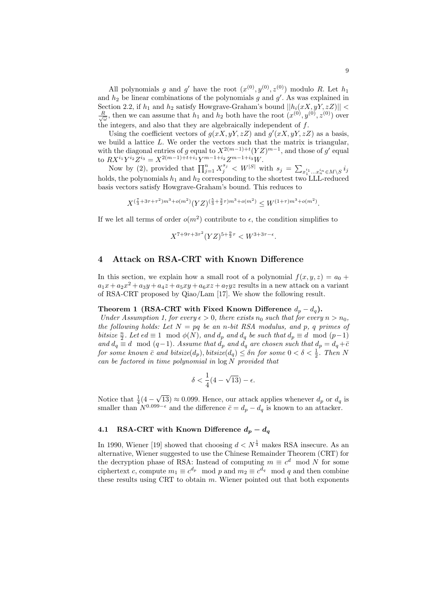All polynomials g and g' have the root  $(x^{(0)}, y^{(0)}, z^{(0)})$  modulo R. Let  $h_1$ and  $h_2$  be linear combinations of the polynomials g and  $g'$ . As was explained in Section 2.2, if  $h_1$  and  $h_2$  satisfy Howgrave-Graham's bound  $||h_i(xX, yY, zZ)||$  $\frac{R}{\sqrt{\omega}}$ , then we can assume that  $h_1$  and  $h_2$  both have the root  $(x^{(0)}, y^{(0)}, z^{(0)})$  over the integers, and also that they are algebraically independent of  $f$ .

Using the coefficient vectors of  $g(xX, yY, zZ)$  and  $g'(xX, yY, zZ)$  as a basis, we build a lattice  $L$ . We order the vectors such that the matrix is triangular, with the diagonal entries of g equal to  $X^{2(m-1)+t}(YZ)^{m-1}$ , and those of g' equal to  $RX^{i_1}Y^{i_2}Z^{i_3} = X^{2(m-1)+t+i_1}Y^{m-1+i_2}Z^{m-1+i_3}W$ .

Now by (2), provided that  $\prod_{j=1}^{n} X_j^{s_j} < W^{|S|}$  with  $s_j = \sum_{x_1^{i_1}...x_n^{i_n} \in M \setminus S} i_j$ holds, the polynomials  $h_1$  and  $h_2$  corresponding to the shortest two LLL-reduced basis vectors satisfy Howgrave-Graham's bound. This reduces to

$$
X^{(\frac{7}{3}+3\tau+\tau^2)m^3+o(m^2)}(YZ)^{(\frac{5}{3}+\frac{3}{2}\tau)m^3+o(m^2)} \leq W^{(1+\tau)m^3+o(m^2)}.
$$

If we let all terms of order  $o(m^2)$  contribute to  $\epsilon$ , the condition simplifies to

$$
X^{7+9\tau+3\tau^2} (YZ)^{5+\frac{9}{2}\tau} < W^{3+3\tau-\epsilon}.
$$

# 4 Attack on RSA-CRT with Known Difference

In this section, we explain how a small root of a polynomial  $f(x, y, z) = a_0 +$  $a_1x + a_2x^2 + a_3y + a_4z + a_5xy + a_6xz + a_7yz$  results in a new attack on a variant of RSA-CRT proposed by Qiao/Lam [17]. We show the following result.

## Theorem 1 (RSA-CRT with Fixed Known Difference  $d_p - d_q$ ).

Under Assumption 1, for every  $\epsilon > 0$ , there exists  $n_0$  such that for every  $n > n_0$ , the following holds: Let  $N = pq$  be an n-bit RSA modulus, and p, q primes of bitsize  $\frac{n}{2}$ . Let  $ed \equiv 1 \mod \phi(N)$ , and  $d_p$  and  $d_q$  be such that  $d_p \equiv d \mod (p-1)$ and  $d_q \equiv d \mod (q-1)$ . Assume that  $d_p$  and  $d_q$  are chosen such that  $d_p = d_q + \overline{c}$ for some known  $\bar{c}$  and bitsize( $d_p$ ), bitsize( $d_q$ )  $\leq$  on for some  $0 < \delta < \frac{1}{2}$ . Then N can be factored in time polynomial in  $\log N$  provided that

$$
\delta < \frac{1}{4}(4 - \sqrt{13}) - \epsilon.
$$

Notice that  $\frac{1}{4}(4 -$ √  $(13) \approx 0.099$ . Hence, our attack applies whenever  $d_p$  or  $d_q$  is smaller than  $N^{0.099-\epsilon}$  and the difference  $\bar{c} = d_p - d_q$  is known to an attacker.

## 4.1 RSA-CRT with Known Difference  $d_p - d_q$

In 1990, Wiener [19] showed that choosing  $d < N^{\frac{1}{4}}$  makes RSA insecure. As an alternative, Wiener suggested to use the Chinese Remainder Theorem (CRT) for the decryption phase of RSA: Instead of computing  $m \equiv c^d \mod N$  for some ciphertext c, compute  $m_1 \equiv c^{d_p} \mod p$  and  $m_2 \equiv c^{d_q} \mod q$  and then combine these results using CRT to obtain  $m$ . Wiener pointed out that both exponents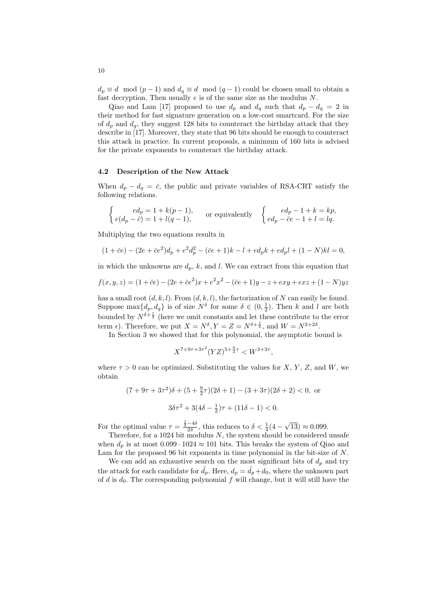$d_p \equiv d \mod (p-1)$  and  $d_q \equiv d \mod (q-1)$  could be chosen small to obtain a fast decryption. Then usually  $e$  is of the same size as the modulus  $N$ .

Qiao and Lam [17] proposed to use  $d_p$  and  $d_q$  such that  $d_p - d_q = 2$  in their method for fast signature generation on a low-cost smartcard. For the size of  $d_p$  and  $d_q$ , they suggest 128 bits to counteract the birthday attack that they describe in [17]. Moreover, they state that 96 bits should be enough to counteract this attack in practice. In current proposals, a minimum of 160 bits is advised for the private exponents to counteract the birthday attack.

## 4.2 Description of the New Attack

When  $d_p - d_q = \bar{c}$ , the public and private variables of RSA-CRT satisfy the following relations.

$$
\begin{cases}ed_p = 1 + k(p-1), \\ e(d_p - \overline{c}) = 1 + l(q-1), \end{cases}
$$
 or equivalently 
$$
\begin{cases}ed_p - 1 + k = kp, \\ ed_p - \overline{c}e - 1 + l = lq. \end{cases}
$$

Multiplying the two equations results in

$$
(1 + \bar{c}e) - (2e + \bar{c}e^2)d_p + e^2d_p^2 - (\bar{c}e + 1)k - l + ed_pk + ed_pl + (1 - N)kl = 0,
$$

in which the unknowns are  $d_p$ , k, and l. We can extract from this equation that

$$
f(x, y, z) = (1 + \bar{c}e) - (2e + \bar{c}e^2)x + e^2x^2 - (\bar{c}e + 1)y - z + \exp(x + \exp(x)) + (1 - N)yz
$$

has a small root  $(d, k, l)$ . From  $(d, k, l)$ , the factorization of N can easily be found. Suppose  $\max\{d_p, d_q\}$  is of size  $N^{\delta}$  for some  $\delta \in (0, \frac{1}{2})$ . Then k and l are both bounded by  $N^{\delta+\frac{1}{2}}$  (here we omit constants and let these contribute to the error term  $\epsilon$ ). Therefore, we put  $X = N^{\delta}$ ,  $Y = Z = N^{\delta + \frac{1}{2}}$ , and  $W = N^{2+2\delta}$ .

In Section 3 we showed that for this polynomial, the asymptotic bound is

$$
X^{7+9\tau+3\tau^2} (YZ)^{5+\frac{9}{2}\tau} < W^{3+3\tau},
$$

where  $\tau > 0$  can be optimized. Substituting the values for X, Y, Z, and W, we obtain

$$
(7+9\tau+3\tau^2)\delta + (5+\frac{9}{2}\tau)(2\delta+1) - (3+3\tau)(2\delta+2) < 0, \text{ or}
$$
\n
$$
3\delta\tau^2 + 3(4\delta - \frac{1}{2})\tau + (11\delta - 1) < 0.
$$

For the optimal value  $\tau = \frac{\frac{1}{2} - 4\delta}{2\delta}$ , this reduces to  $\delta < \frac{1}{4}(4 - \delta)$ √  $\overline{13}) \approx 0.099.$ 

Therefore, for a 1024 bit modulus  $N$ , the system should be considered unsafe when  $d_p$  is at most  $0.099 \cdot 1024 \approx 101$  bits. This breaks the system of Qiao and Lam for the proposed 96 bit exponents in time polynomial in the bit-size of N.

We can add an exhaustive search on the most significant bits of  $d_p$  and try the attack for each candidate for  $d_p$ . Here,  $d_p = d_p + d_0$ , where the unknown part of  $d$  is  $d_0$ . The corresponding polynomial  $f$  will change, but it will still have the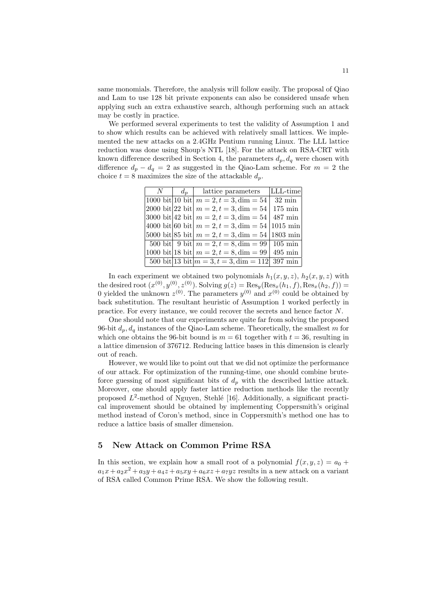same monomials. Therefore, the analysis will follow easily. The proposal of Qiao and Lam to use 128 bit private exponents can also be considered unsafe when applying such an extra exhaustive search, although performing such an attack may be costly in practice.

We performed several experiments to test the validity of Assumption 1 and to show which results can be achieved with relatively small lattices. We implemented the new attacks on a 2.4GHz Pentium running Linux. The LLL lattice reduction was done using Shoup's NTL [18]. For the attack on RSA-CRT with known difference described in Section 4, the parameters  $d_p, d_q$  were chosen with difference  $d_p - d_q = 2$  as suggested in the Qiao-Lam scheme. For  $m = 2$  the choice  $t = 8$  maximizes the size of the attackable  $d_p$ .

| $N_{-}$ |  | $d_n$   lattice parameters                                                            | LLL-time          |  |
|---------|--|---------------------------------------------------------------------------------------|-------------------|--|
|         |  | $\boxed{1000}$ bit   10 bit   $m = 2, t = 3$ , dim = 54                               | $32 \text{ min}$  |  |
|         |  | $ 2000 \text{ bit} 22 \text{ bit} $ $m = 2, t = 3, \text{dim} = 54   175 \text{ min}$ |                   |  |
|         |  | 3000 bit 42 bit $m = 2, t = 3$ , dim = 54                                             | $487 \text{ min}$ |  |
|         |  | 4000 bit 60 bit $m = 2, t = 3$ , dim = 54   1015 min                                  |                   |  |
|         |  | 5000 bit 85 bit $m = 2, t = 3$ , dim = 54   1803 min                                  |                   |  |
|         |  | 500 bit 9 bit $m = 2, t = 8$ , dim = 99   105 min                                     |                   |  |
|         |  | $1000 \text{ bit}$ 18 bit $m = 2, t = 8, \text{dim} = 99$   495 min                   |                   |  |
|         |  | 500 bit 13 bit $ m = 3, t = 3, \text{dim} = 112 397 \text{ min}$                      |                   |  |
|         |  |                                                                                       |                   |  |

In each experiment we obtained two polynomials  $h_1(x, y, z)$ ,  $h_2(x, y, z)$  with the desired root  $(x^{(0)}, y^{(0)}, z^{(0)})$ . Solving  $g(z) = \text{Res}_y(\text{Res}_x(h_1, f), \text{Res}_x(h_2, f)) =$ 0 yielded the unknown  $z^{(0)}$ . The parameters  $y^{(0)}$  and  $x^{(0)}$  could be obtained by back substitution. The resultant heuristic of Assumption 1 worked perfectly in practice. For every instance, we could recover the secrets and hence factor N.

One should note that our experiments are quite far from solving the proposed 96-bit  $d_p, d_q$  instances of the Qiao-Lam scheme. Theoretically, the smallest m for which one obtains the 96-bit bound is  $m = 61$  together with  $t = 36$ , resulting in a lattice dimension of 376712. Reducing lattice bases in this dimension is clearly out of reach.

However, we would like to point out that we did not optimize the performance of our attack. For optimization of the running-time, one should combine bruteforce guessing of most significant bits of  $d_p$  with the described lattice attack. Moreover, one should apply faster lattice reduction methods like the recently proposed  $L^2$ -method of Nguyen, Stehlé [16]. Additionally, a significant practical improvement should be obtained by implementing Coppersmith's original method instead of Coron's method, since in Coppersmith's method one has to reduce a lattice basis of smaller dimension.

# 5 New Attack on Common Prime RSA

In this section, we explain how a small root of a polynomial  $f(x, y, z) = a_0 +$  $a_1x + a_2x^2 + a_3y + a_4z + a_5xy + a_6xz + a_7yz$  results in a new attack on a variant of RSA called Common Prime RSA. We show the following result.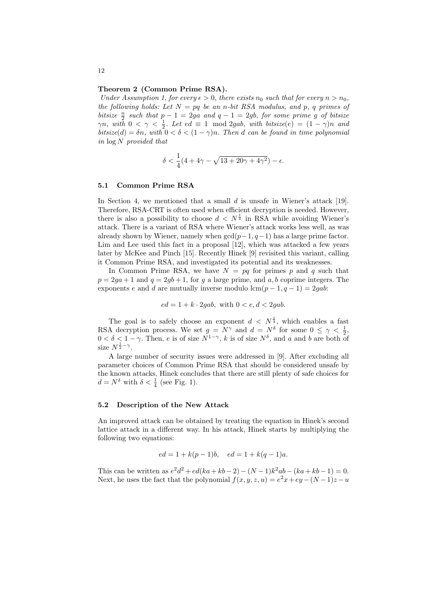#### Theorem 2 (Common Prime RSA).

Under Assumption 1, for every  $\epsilon > 0$ , there exists  $n_0$  such that for every  $n > n_0$ , the following holds: Let  $N = pq$  be an n-bit RSA modulus, and p, q primes of bitsize  $\frac{n}{2}$  such that  $p - 1 = 2ga$  and  $q - 1 = 2gb$ , for some prime g of bitsize  $\gamma n$ , with  $0 < \gamma < \frac{1}{2}$ . Let  $ed \equiv 1 \mod 2 gab$ , with bitsize $(e) = (1 - \gamma)n$  and bitsize(d) =  $\delta n$ , with  $0 < \delta < (1 - \gamma)n$ . Then d can be found in time polynomial in log N provided that

$$
\delta < \frac{1}{4}(4+4\gamma-\sqrt{13+20\gamma+4\gamma^2})-\epsilon.
$$

#### 5.1 Common Prime RSA

In Section 4, we mentioned that a small  $d$  is unsafe in Wiener's attack [19]. Therefore, RSA-CRT is often used when efficient decryption is needed. However, there is also a possibility to choose  $d \langle N^{\frac{1}{4}} \rangle$  in RSA while avoiding Wiener's attack. There is a variant of RSA where Wiener's attack works less well, as was already shown by Wiener, namely when  $gcd(p-1, q-1)$  has a large prime factor. Lim and Lee used this fact in a proposal [12], which was attacked a few years later by McKee and Pinch [15]. Recently Hinek [9] revisited this variant, calling it Common Prime RSA, and investigated its potential and its weaknesses.

In Common Prime RSA, we have  $N = pq$  for primes p and q such that  $p = 2qa + 1$  and  $q = 2qb + 1$ , for q a large prime, and a, b coprime integers. The exponents e and d are mutually inverse modulo  $\text{lcm}(p-1, q-1) = 2gab$ :

$$
ed = 1 + k \cdot 2gab
$$
, with  $0 < e, d < 2gab$ .

The goal is to safely choose an exponent  $d \langle N^{\frac{1}{4}} \rangle$ , which enables a fast RSA decryption process. We set  $g = N^{\gamma}$  and  $d = N^{\delta}$  for some  $0 \leq \gamma < \frac{1}{2}$ ,  $0 < \delta < 1-\gamma$ . Then, e is of size  $N^{1-\gamma}$ , k is of size  $N^{\delta}$ , and a and b are both of size  $N^{\frac{1}{2}-\gamma}$ .

A large number of security issues were addressed in [9]. After excluding all parameter choices of Common Prime RSA that should be considered unsafe by the known attacks, Hinek concludes that there are still plenty of safe choices for  $d = N^{\delta}$  with  $\delta < \frac{1}{4}$  (see Fig. 1).

#### 5.2 Description of the New Attack

An improved attack can be obtained by treating the equation in Hinek's second lattice attack in a different way. In his attack, Hinek starts by multiplying the following two equations:

$$
ed = 1 + k(p-1)b
$$
,  $ed = 1 + k(q-1)a$ .

This can be written as  $e^2d^2 + ed(ka + kb - 2) - (N-1)k^2ab - (ka + kb - 1) = 0$ . Next, he uses the fact that the polynomial  $f(x, y, z, u) = e^2x + ey - (N - 1)z - u$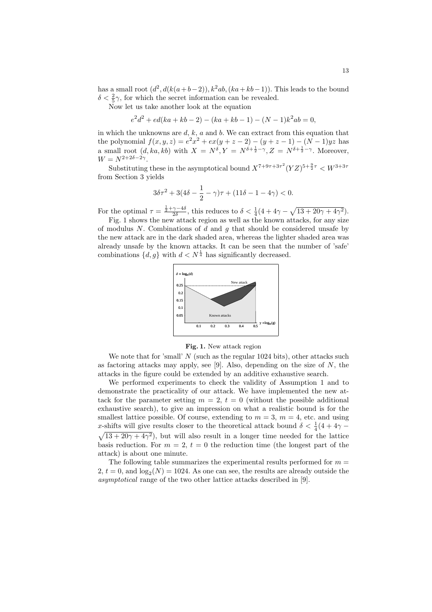has a small root  $(d^2, d(k(a+b-2)), k^2ab, (ka+kb-1))$ . This leads to the bound  $\delta < \frac{2}{5}\gamma$ , for which the secret information can be revealed.

Now let us take another look at the equation

$$
e2d2 + ed(ka + kb - 2) - (ka + kb - 1) - (N - 1)k2ab = 0,
$$

in which the unknowns are  $d, k, a$  and  $b$ . We can extract from this equation that the polynomial  $f(x, y, z) = e^{2x^{2}} + ex(y + z - 2) - (y + z - 1) - (N - 1)yz$  has a small root  $(d, ka, kb)$  with  $X = N^{\delta}, Y = N^{\delta + \frac{1}{2} - \gamma}, Z = N^{\delta + \frac{1}{2} - \gamma}$ . Moreover,  $W = N^{2+2\delta - 2\gamma}.$ 

Substituting these in the asymptotical bound  $X^{7+9\tau+3\tau^2} (YZ)^{5+\frac{9}{2}\tau} < W^{3+3\tau}$ from Section 3 yields

$$
3\delta\tau^2 + 3(4\delta - \frac{1}{2} - \gamma)\tau + (11\delta - 1 - 4\gamma) < 0.
$$

For the optimal  $\tau = \frac{\frac{1}{2} + \gamma - 4\delta}{2\delta}$ , this reduces to  $\delta < \frac{1}{4}(4 + 4\gamma - \delta)$ p  $13 + 20\gamma + 4\gamma^2$ .

Fig. 1 shows the new attack region as well as the known attacks, for any size of modulus N. Combinations of d and q that should be considered unsafe by the new attack are in the dark shaded area, whereas the lighter shaded area was already unsafe by the known attacks. It can be seen that the number of 'safe' combinations  $\{d, g\}$  with  $d < N^{\frac{1}{4}}$  has significantly decreased.



Fig. 1. New attack region

We note that for 'small'  $N$  (such as the regular 1024 bits), other attacks such as factoring attacks may apply, see [9]. Also, depending on the size of  $N$ , the attacks in the figure could be extended by an additive exhaustive search.

We performed experiments to check the validity of Assumption 1 and to demonstrate the practicality of our attack. We have implemented the new attack for the parameter setting  $m = 2$ ,  $t = 0$  (without the possible additional exhaustive search), to give an impression on what a realistic bound is for the smallest lattice possible. Of course, extending to  $m = 3$ ,  $m = 4$ , etc. and using x-shifts will give results closer to the theoretical attack bound  $\delta < \frac{1}{4}(4 + 4\gamma 13 + 20\gamma + 4\gamma^2$ , but will also result in a longer time needed for the lattice basis reduction. For  $m = 2$ ,  $t = 0$  the reduction time (the longest part of the attack) is about one minute.

The following table summarizes the experimental results performed for  $m =$  $2, t = 0$ , and  $\log_2(N) = 1024$ . As one can see, the results are already outside the asymptotical range of the two other lattice attacks described in [9].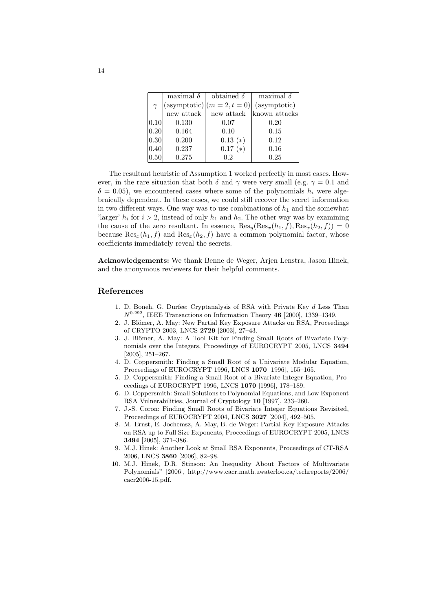|           | maximal $\delta$ | obtained $\delta$        | maximal $\delta$ |
|-----------|------------------|--------------------------|------------------|
| $\gamma$  |                  | $(asymptotic) (m=2,t=0)$ | (asymptotic)     |
|           | new attack       | new attack               | known attacks    |
| 0.10      | 0.130            | 0.07                     | 0.20             |
| 0.20      | 0.164            | 0.10                     | 0.15             |
| 0.30      | 0.200            | $0.13(*)$                | 0.12             |
| 0.40      | 0.237            | $0.17(*)$                | 0.16             |
| $ 0.50\>$ | 0.275            | 0.2                      | 0.25             |

The resultant heuristic of Assumption 1 worked perfectly in most cases. However, in the rare situation that both  $\delta$  and  $\gamma$  were very small (e.g.  $\gamma = 0.1$  and  $\delta = 0.05$ , we encountered cases where some of the polynomials  $h_i$  were algebraically dependent. In these cases, we could still recover the secret information in two different ways. One way was to use combinations of  $h_1$  and the somewhat 'larger'  $h_i$  for  $i > 2$ , instead of only  $h_1$  and  $h_2$ . The other way was by examining the cause of the zero resultant. In essence,  $\text{Res}_{u}(\text{Res}_{x}(h_1, f), \text{Res}_{x}(h_2, f)) = 0$ because  $\text{Res}_x(h_1, f)$  and  $\text{Res}_x(h_2, f)$  have a common polynomial factor, whose coefficients immediately reveal the secrets.

Acknowledgements: We thank Benne de Weger, Arjen Lenstra, Jason Hinek, and the anonymous reviewers for their helpful comments.

#### References

- 1. D. Boneh, G. Durfee: Cryptanalysis of RSA with Private Key d Less Than  $N^{0.292}$ , IEEE Transactions on Information Theory 46 [2000], 1339-1349.
- 2. J. Blömer, A. May: New Partial Key Exposure Attacks on RSA, Proceedings of CRYPTO 2003, LNCS 2729 [2003], 27–43.
- 3. J. Blömer, A. May: A Tool Kit for Finding Small Roots of Bivariate Polynomials over the Integers, Proceedings of EUROCRYPT 2005, LNCS 3494 [2005], 251–267.
- 4. D. Coppersmith: Finding a Small Root of a Univariate Modular Equation, Proceedings of EUROCRYPT 1996, LNCS 1070 [1996], 155–165.
- 5. D. Coppersmith: Finding a Small Root of a Bivariate Integer Equation, Proceedings of EUROCRYPT 1996, LNCS 1070 [1996], 178–189.
- 6. D. Coppersmith: Small Solutions to Polynomial Equations, and Low Exponent RSA Vulnerabilities, Journal of Cryptology 10 [1997], 233–260.
- 7. J.-S. Coron: Finding Small Roots of Bivariate Integer Equations Revisited, Proceedings of EUROCRYPT 2004, LNCS 3027 [2004], 492–505.
- 8. M. Ernst, E. Jochemsz, A. May, B. de Weger: Partial Key Exposure Attacks on RSA up to Full Size Exponents, Proceedings of EUROCRYPT 2005, LNCS 3494 [2005], 371–386.
- 9. M.J. Hinek: Another Look at Small RSA Exponents, Proceedings of CT-RSA 2006, LNCS 3860 [2006], 82–98.
- 10. M.J. Hinek, D.R. Stinson: An Inequality About Factors of Multivariate Polynomials" [2006], http://www.cacr.math.uwaterloo.ca/techreports/2006/ cacr2006-15.pdf.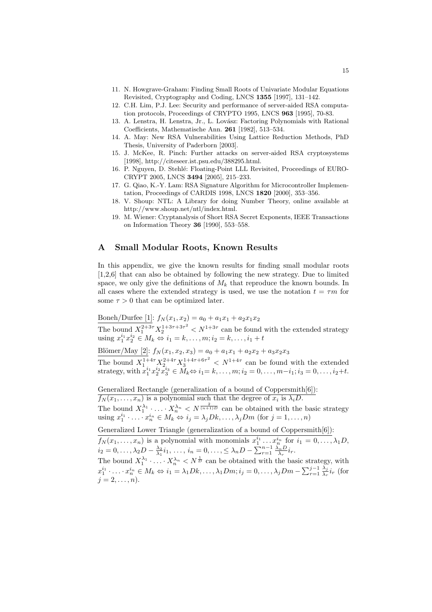- 11. N. Howgrave-Graham: Finding Small Roots of Univariate Modular Equations Revisited, Cryptography and Coding, LNCS 1355 [1997], 131–142.
- 12. C.H. Lim, P.J. Lee: Security and performance of server-aided RSA computation protocols, Proceedings of CRYPTO 1995, LNCS 963 [1995], 70-83.
- 13. A. Lenstra, H. Lenstra, Jr., L. Lovász: Factoring Polynomials with Rational Coefficients, Mathematische Ann. 261 [1982], 513–534.
- 14. A. May: New RSA Vulnerabilities Using Lattice Reduction Methods, PhD Thesis, University of Paderborn [2003].
- 15. J. McKee, R. Pinch: Further attacks on server-aided RSA cryptosystems [1998], http://citeseer.ist.psu.edu/388295.html.
- 16. P. Nguyen, D. Stehl´e: Floating-Point LLL Revisited, Proceedings of EURO-CRYPT 2005, LNCS 3494 [2005], 215–233.
- 17. G. Qiao, K.-Y. Lam: RSA Signature Algorithm for Microcontroller Implementation, Proceedings of CARDIS 1998, LNCS 1820 [2000], 353–356.
- 18. V. Shoup: NTL: A Library for doing Number Theory, online available at http://www.shoup.net/ntl/index.html.
- 19. M. Wiener: Cryptanalysis of Short RSA Secret Exponents, IEEE Transactions on Information Theory 36 [1990], 553–558.

# A Small Modular Roots, Known Results

In this appendix, we give the known results for finding small modular roots [1,2,6] that can also be obtained by following the new strategy. Due to limited space, we only give the definitions of  $M_k$  that reproduce the known bounds. In all cases where the extended strategy is used, we use the notation  $t = \tau m$  for some  $\tau > 0$  that can be optimized later.

Boneh/Durfee [1]:  $f_N(x_1, x_2) = a_0 + a_1x_1 + a_2x_1x_2$ 

The bound  $X_1^{2+3\tau}X_2^{1+3\tau+3\tau^2} < N^{1+3\tau}$  can be found with the extended strategy using  $x_1^{i_1} x_2^{i_2} \in M_k \Leftrightarrow i_1 = k, ..., m; i_2 = k, ..., i_1 + t$ 

Blömer/May [2]:  $f_N(x_1, x_2, x_3) = a_0 + a_1x_1 + a_2x_2 + a_3x_2x_3$ 

The bound  $X_1^{1+4\tau} X_2^{2+4\tau} X_3^{1+4\tau+6\tau^2} < N^{1+4\tau}$  can be found with the extended strategy, with  $x_1^{i_1}x_2^{i_2}x_3^{i_3} \in M_k \Leftrightarrow i_1 = k, \ldots, m; i_2 = 0, \ldots, m-i_1; i_3 = 0, \ldots, i_2+t.$ 

Generalized Rectangle (generalization of a bound of Coppersmith[6]):  $f_N(x_1, \ldots, x_n)$  is a polynomial such that the degree of  $x_i$  is  $\lambda_i D$ . The bound  $X_1^{\lambda_1} \cdot \ldots \cdot X_n^{\lambda_n} < N^{\frac{2}{(n+1)D}}$  can be obtained with the basic strategy using  $x_1^{i_1} \cdot \ldots \cdot x_n^{i_n} \in M_k \Leftrightarrow i_j = \lambda_j Dk, \ldots, \lambda_j Dm$  (for  $j = 1, \ldots, n$ )

Generalized Lower Triangle (generalization of a bound of Coppersmith[6]):

 $f_N(x_1,\ldots,x_n)$  is a polynomial with monomials  $x_1^{i_1}\ldots x_n^{i_n}$  for  $i_1=0,\ldots,\lambda_1D$ ,  $i_2 = 0, \ldots, \lambda_2 D - \frac{\lambda_2}{\lambda_1} i_1, \ldots, i_n = 0, \ldots, \leq \lambda_n D - \sum_{r=1}^{n-1} \frac{\lambda_r}{\lambda_r} i_r.$ 

The bound  $X_1^{\lambda_1} \cdot \ldots \cdot X_n^{\lambda_n} < N^{\frac{1}{D}}$  can be obtained with the basic strategy, with The bound  $X_1 \cap \dots \cap X_n \subseteq N$  is can be obtained with the basic strategy<br>  $x_1^{i_1} \cdot \dots \cdot x_n^{i_n} \in M_k \Leftrightarrow i_1 = \lambda_1 D k, \dots, \lambda_1 D m; i_j = 0, \dots, \lambda_j D m - \sum_{r=1}^{j-1} \frac{\lambda_r}{\lambda_r}$  $\frac{\lambda_j}{\lambda_r}i_r$  (for  $j = 2, \ldots, n$ .